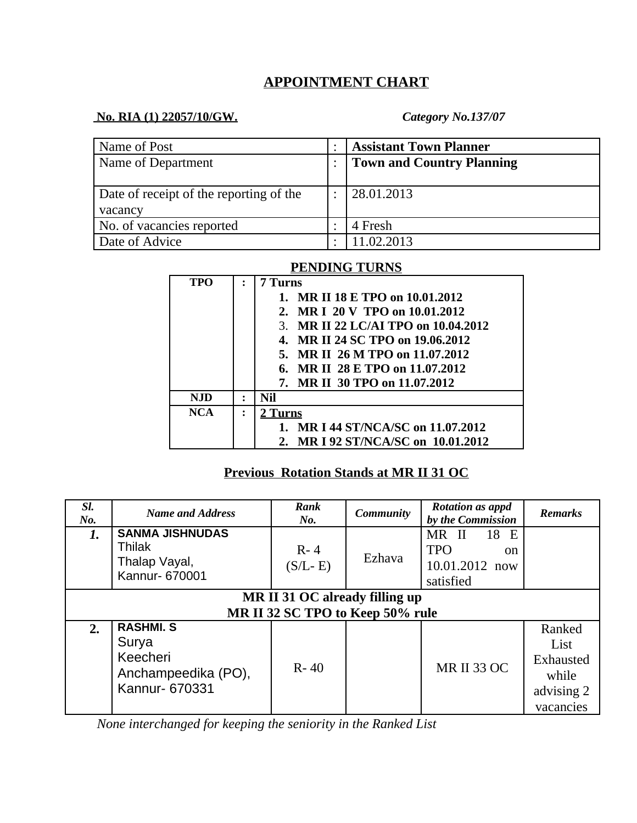# **APPOINTMENT CHART**

## **No. RIA (1) 22057/10/GW.** *Category No.137/07*

| Name of Post                            | <b>Assistant Town Planner</b>    |
|-----------------------------------------|----------------------------------|
| Name of Department                      | <b>Town and Country Planning</b> |
| Date of receipt of the reporting of the | 28.01.2013                       |
| vacancy                                 |                                  |
| No. of vacancies reported               | 4 Fresh                          |
| Date of Advice                          | 11 02.2013                       |

## **PENDING TURNS**

| <b>TPC</b> | Turns                               |
|------------|-------------------------------------|
|            | 1. MR II 18 F. TPO on 10.01.2012    |
|            | 2. MR I 20 V TPO on 10.01.2012      |
|            | 3. MR II 22 LC/AI TPO on 10.04.2012 |
|            | 4. MR II 24 SC TPO on 19.06.2012    |
|            | 5. MR II 26 M TPO on 11.07.2012     |
|            | 6. MR II 28 E TPO on 11.07.2012     |
|            | 7. MR II 30 TPO on 11.07.2012       |
| NJD        | Nil                                 |
| <b>NCA</b> | 2 Turns                             |
|            | 1. MR I 44 ST/NCA/SC on 11.07.2012  |
|            | MR I 92 ST/NCA/SC on 10.01.2012     |

# **Previous Rotation Stands at MR II 31 OC**

| SI.<br>No.                       | <b>Name and Address</b>                                                        | Rank<br>No.            | <b>Community</b> | <b>Rotation as appd</b><br>by the Commission                   | <b>Remarks</b>                                     |  |  |  |
|----------------------------------|--------------------------------------------------------------------------------|------------------------|------------------|----------------------------------------------------------------|----------------------------------------------------|--|--|--|
| 1.                               | <b>SANMA JISHNUDAS</b><br>Thilak<br>Thalap Vayal,                              | $R - 4$<br>$(S/L - E)$ | Ezhava           | 18 E<br>MR II<br><b>TPO</b><br><sub>on</sub><br>10.01.2012 now |                                                    |  |  |  |
|                                  | Kannur- 670001                                                                 |                        |                  | satisfied                                                      |                                                    |  |  |  |
| MR II 31 OC already filling up   |                                                                                |                        |                  |                                                                |                                                    |  |  |  |
| MR II 32 SC TPO to Keep 50% rule |                                                                                |                        |                  |                                                                |                                                    |  |  |  |
| 2.                               | <b>RASHMI, S</b><br>Surya<br>Keecheri<br>Anchampeedika (PO),<br>Kannur- 670331 | $R - 40$               |                  | <b>MR II 33 OC</b>                                             | Ranked<br>List<br>Exhausted<br>while<br>advising 2 |  |  |  |
|                                  |                                                                                |                        |                  |                                                                | vacancies                                          |  |  |  |

 *None interchanged for keeping the seniority in the Ranked List*